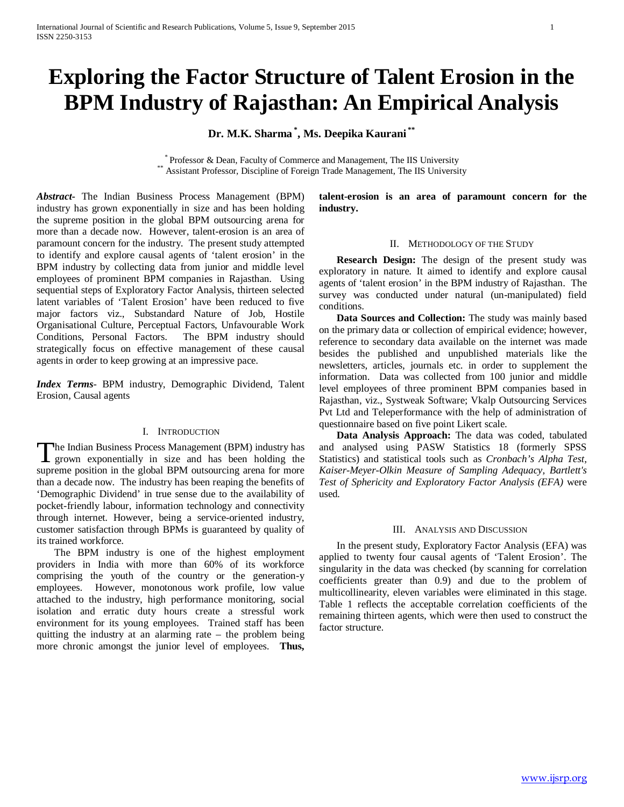# **Exploring the Factor Structure of Talent Erosion in the BPM Industry of Rajasthan: An Empirical Analysis**

**Dr. M.K. Sharma \* , Ms. Deepika Kaurani \*\***

\* Professor & Dean, Faculty of Commerce and Management, The IIS University \*\* Assistant Professor, Discipline of Foreign Trade Management, The IIS University

*Abstract***-** The Indian Business Process Management (BPM) industry has grown exponentially in size and has been holding the supreme position in the global BPM outsourcing arena for more than a decade now. However, talent-erosion is an area of paramount concern for the industry. The present study attempted to identify and explore causal agents of 'talent erosion' in the BPM industry by collecting data from junior and middle level employees of prominent BPM companies in Rajasthan. Using sequential steps of Exploratory Factor Analysis, thirteen selected latent variables of 'Talent Erosion' have been reduced to five major factors viz., Substandard Nature of Job, Hostile Organisational Culture, Perceptual Factors, Unfavourable Work Conditions, Personal Factors. The BPM industry should strategically focus on effective management of these causal agents in order to keep growing at an impressive pace.

*Index Terms*- BPM industry, Demographic Dividend, Talent Erosion, Causal agents

### I. INTRODUCTION

he Indian Business Process Management (BPM) industry has The Indian Business Process Management (BPM) industry has<br>grown exponentially in size and has been holding the supreme position in the global BPM outsourcing arena for more than a decade now. The industry has been reaping the benefits of 'Demographic Dividend' in true sense due to the availability of pocket-friendly labour, information technology and connectivity through internet. However, being a service-oriented industry, customer satisfaction through BPMs is guaranteed by quality of its trained workforce.

 The BPM industry is one of the highest employment providers in India with more than 60% of its workforce comprising the youth of the country or the generation-y employees. However, monotonous work profile, low value attached to the industry, high performance monitoring, social isolation and erratic duty hours create a stressful work environment for its young employees. Trained staff has been quitting the industry at an alarming rate – the problem being more chronic amongst the junior level of employees. **Thus,** 

**talent-erosion is an area of paramount concern for the industry.** 

#### II. METHODOLOGY OF THE STUDY

 **Research Design:** The design of the present study was exploratory in nature. It aimed to identify and explore causal agents of 'talent erosion' in the BPM industry of Rajasthan. The survey was conducted under natural (un-manipulated) field conditions.

 **Data Sources and Collection:** The study was mainly based on the primary data or collection of empirical evidence; however, reference to secondary data available on the internet was made besides the published and unpublished materials like the newsletters, articles, journals etc. in order to supplement the information. Data was collected from 100 junior and middle level employees of three prominent BPM companies based in Rajasthan, viz., Systweak Software; Vkalp Outsourcing Services Pvt Ltd and Teleperformance with the help of administration of questionnaire based on five point Likert scale.

 **Data Analysis Approach:** The data was coded, tabulated and analysed using PASW Statistics 18 (formerly SPSS Statistics) and statistical tools such as *Cronbach's Alpha Test, Kaiser-Meyer-Olkin Measure of Sampling Adequacy, Bartlett's Test of Sphericity and Exploratory Factor Analysis (EFA)* were used*.*

### III. ANALYSIS AND DISCUSSION

 In the present study, Exploratory Factor Analysis (EFA) was applied to twenty four causal agents of 'Talent Erosion'. The singularity in the data was checked (by scanning for correlation coefficients greater than 0.9) and due to the problem of multicollinearity, eleven variables were eliminated in this stage. Table 1 reflects the acceptable correlation coefficients of the remaining thirteen agents, which were then used to construct the factor structure.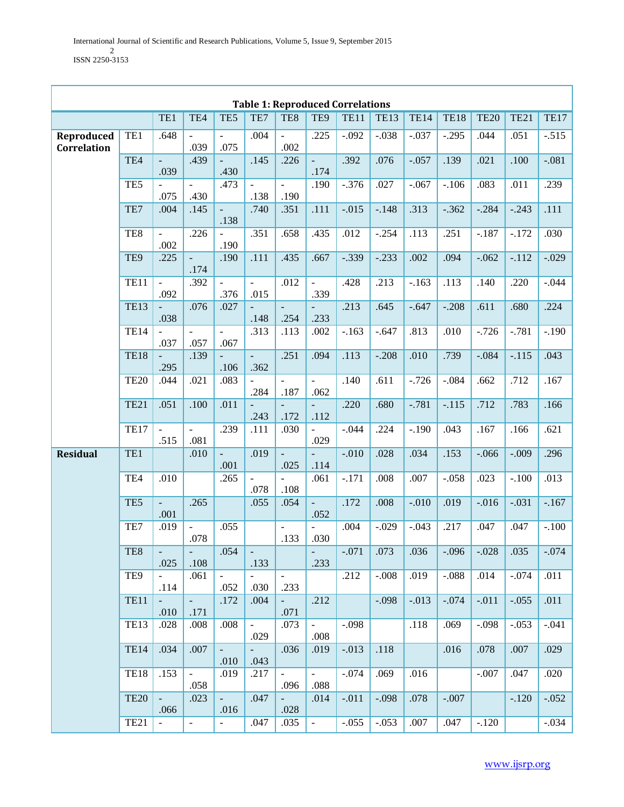T

|                           | <b>Table 1: Reproduced Correlations</b> |                                  |                             |                        |                             |                                  |                                  |             |                  |             |             |             |             |             |
|---------------------------|-----------------------------------------|----------------------------------|-----------------------------|------------------------|-----------------------------|----------------------------------|----------------------------------|-------------|------------------|-------------|-------------|-------------|-------------|-------------|
|                           |                                         | TE1                              | TE4                         | TE5                    | TE7                         | TE8                              | TE9                              | <b>TE11</b> | <b>TE13</b>      | <b>TE14</b> | <b>TE18</b> | <b>TE20</b> | <b>TE21</b> | <b>TE17</b> |
| Reproduced<br>Correlation | TE1                                     | .648                             | $\Box$<br>.039              | .075                   | .004                        | $\frac{1}{2}$<br>.002            | .225                             | $-.092$     | $-.038$          | $-.037$     | $-.295$     | .044        | .051        | $-.515$     |
|                           | TE4                                     | $\overline{\phantom{a}}$<br>.039 | .439                        | .430                   | .145                        | .226                             | $\Box$<br>.174                   | .392        | .076             | $-.057$     | .139        | .021        | .100        | $-.081$     |
|                           | TE <sub>5</sub>                         | .075                             | $\blacksquare$<br>.430      | .473                   | $\bar{\phantom{a}}$<br>.138 | $\equiv$<br>.190                 | .190                             | $-.376$     | .027             | $-.067$     | $-.106$     | .083        | .011        | .239        |
|                           | TE7                                     | .004                             | .145                        | $\Box$<br>.138         | .740                        | .351                             | .111                             | $-.015$     | $-.148$          | .313        | $-0.362$    | $-.284$     | $-.243$     | .111        |
|                           | TE8                                     | $\overline{\phantom{a}}$<br>.002 | .226                        | .190                   | .351                        | .658                             | .435                             | .012        | $-.254$          | .113        | .251        | $-187$      | $-.172$     | .030        |
|                           | TE9                                     | .225                             | $\Box$<br>.174              | .190                   | .111                        | .435                             | .667                             | $-.339$     | $-.233$          | .002        | .094        | $-.062$     | $-.112$     | $-.029$     |
|                           | <b>TE11</b>                             | $\blacksquare$<br>.092           | .392                        | $\overline{a}$<br>.376 | $\mathbf{r}$<br>.015        | .012                             | $\overline{\phantom{a}}$<br>.339 | .428        | .213             | $-.163$     | .113        | .140        | .220        | $-.044$     |
|                           | <b>TE13</b>                             | .038                             | .076                        | .027                   | .148                        | $\overline{\phantom{a}}$<br>.254 | .233                             | .213        | .645             | $-.647$     | $-.208$     | .611        | .680        | .224        |
|                           | <b>TE14</b>                             | .037                             | $\equiv$<br>.057            | .067                   | .313                        | .113                             | .002                             | $-.163$     | $-.647$          | .813        | .010        | $-.726$     | $-.781$     | $-.190$     |
|                           | <b>TE18</b>                             | .295                             | .139                        | .106                   | $\equiv$<br>.362            | .251                             | .094                             | .113        | $-.208$          | .010        | .739        | $-.084$     | $-.115$     | .043        |
|                           | <b>TE20</b>                             | .044                             | .021                        | .083                   | .284                        | .187                             | $\equiv$<br>.062                 | .140        | .611             | $-.726$     | $-.084$     | .662        | .712        | .167        |
|                           | <b>TE21</b>                             | .051                             | .100                        | .011                   | .243                        | .172                             | .112                             | .220        | .680             | $-.781$     | $-.115$     | .712        | .783        | .166        |
|                           | <b>TE17</b>                             | .515                             | $\bar{\phantom{a}}$<br>.081 | .239                   | .111                        | .030                             | .029                             | $-.044$     | .224             | $-.190$     | .043        | .167        | .166        | .621        |
| <b>Residual</b>           | TE1                                     |                                  | .010                        | $\Box$<br>.001         | .019                        | $\Box$<br>.025                   | .114                             | $-.010$     | .028             | .034        | .153        | $-.066$     | $-.009$     | .296        |
|                           | TE <sub>4</sub>                         | .010                             |                             | .265                   | $\mathbb{L}^2$<br>.078      | $\equiv$<br>.108                 | .061                             | $-.171$     | .008             | .007        | $-.058$     | .023        | $-.100$     | .013        |
|                           | TE <sub>5</sub>                         | $\overline{\phantom{a}}$<br>.001 | .265                        |                        | .055                        | .054                             | $\overline{\phantom{a}}$<br>.052 | .172        | .008             | $-.010$     | .019        | $-.016$     | $-.031$     | $-.167$     |
|                           | TE7                                     | .019                             | $\Box$<br>.078              | .055                   |                             | ÷,<br>.133                       | ÷,<br>.030                       | .004        | $-.029$          | $-.043$     | .217        | .047        | .047        | $-.100$     |
|                           | TE8                                     | $\sim$<br>.025                   | $\omega_{\rm{max}}$<br>.108 | .054                   | .133                        |                                  | $\sim$ .<br>.233                 | $-.071$     | $\overline{073}$ | .036        | $-0.096$    | $-.028$     | .035        | $-0.074$    |
|                           | TE <sub>9</sub>                         | $\sim$<br>.114                   | .061                        | $\equiv$<br>.052       | $\blacksquare$<br>.030      | $\blacksquare$<br>.233           |                                  | .212        | $-.008$          | .019        | $-.088$     | .014        | $-.074$     | .011        |
|                           | <b>TE11</b>                             | $\equiv$<br>.010                 | $\omega$<br>.171            | .172                   | .004                        | $\equiv$<br>.071                 | .212                             |             | $-.098$          | $-.013$     | $-.074$     | $-.011$     | $-.055$     | .011        |
|                           | <b>TE13</b>                             | .028                             | .008                        | .008                   | $\omega$<br>.029            | .073                             | $\omega$<br>.008                 | $-.098$     |                  | .118        | .069        | $-.098$     | $-.053$     | $-.041$     |
|                           | <b>TE14</b>                             | .034                             | .007                        | $\omega$<br>.010       | $\omega_{\rm{eff}}$<br>.043 | .036                             | .019                             | $-.013$     | .118             |             | .016        | .078        | .007        | .029        |
|                           | <b>TE18</b>                             | .153                             | ÷,<br>.058                  | .019                   | .217                        | $\omega$<br>.096                 | $\sim$<br>.088                   | $-.074$     | .069             | .016        |             | $-.007$     | .047        | .020        |
|                           | <b>TE20</b>                             | $\omega_{\rm{eff}}$<br>.066      | .023                        | $\omega$ .<br>.016     | .047                        | $\blacksquare$<br>.028           | .014                             | $-.011$     | $-.098$          | .078        | $-.007$     |             | $-.120$     | $-.052$     |
|                           | <b>TE21</b>                             | $\omega$ .                       | $\blacksquare$              | $\blacksquare$         | .047                        | .035                             | $\omega_{\rm c}$                 | $-.055$     | $-.053$          | .007        | .047        | $-.120$     |             | $-.034$     |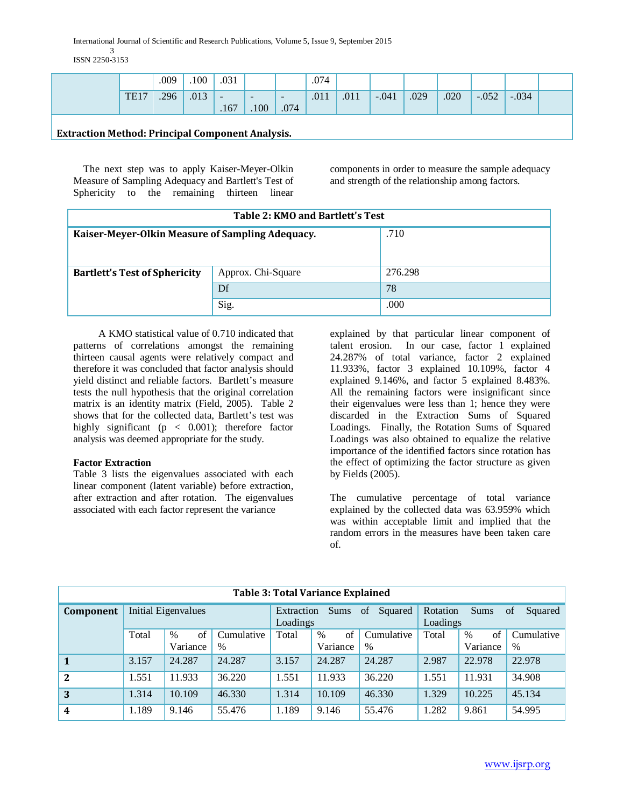International Journal of Scientific and Research Publications, Volume 5, Issue 9, September 2015 3 ISSN 2250-3153

|                  | .009 | .100 | .031                             |                                  |             | .074 |      |         |      |      |         |         |  |
|------------------|------|------|----------------------------------|----------------------------------|-------------|------|------|---------|------|------|---------|---------|--|
| TE <sub>17</sub> | .296 | .013 | $\overline{\phantom{0}}$<br>.167 | $\overline{\phantom{a}}$<br>.100 | $-$<br>.074 | .011 | .011 | $-.041$ | .029 | .020 | $-.052$ | $-.034$ |  |
|                  |      |      |                                  |                                  |             |      |      |         |      |      |         |         |  |

# **Extraction Method: Principal Component Analysis.**

 The next step was to apply Kaiser-Meyer-Olkin Measure of Sampling Adequacy and Bartlett's Test of Sphericity to the remaining thirteen linear components in order to measure the sample adequacy and strength of the relationship among factors.

| Table 2: KMO and Bartlett's Test                 |                    |         |  |  |  |  |  |  |
|--------------------------------------------------|--------------------|---------|--|--|--|--|--|--|
| Kaiser-Meyer-Olkin Measure of Sampling Adequacy. | .710               |         |  |  |  |  |  |  |
|                                                  |                    |         |  |  |  |  |  |  |
| <b>Bartlett's Test of Sphericity</b>             | Approx. Chi-Square | 276.298 |  |  |  |  |  |  |
|                                                  | Df                 | 78      |  |  |  |  |  |  |
|                                                  | Sig.               | .000    |  |  |  |  |  |  |

 A KMO statistical value of 0.710 indicated that patterns of correlations amongst the remaining thirteen causal agents were relatively compact and therefore it was concluded that factor analysis should yield distinct and reliable factors. Bartlett's measure tests the null hypothesis that the original correlation matrix is an identity matrix (Field, 2005). Table 2 shows that for the collected data, Bartlett's test was highly significant ( $p < 0.001$ ); therefore factor analysis was deemed appropriate for the study.

## **Factor Extraction**

Table 3 lists the eigenvalues associated with each linear component (latent variable) before extraction, after extraction and after rotation. The eigenvalues associated with each factor represent the variance

explained by that particular linear component of talent erosion. In our case, factor 1 explained 24.287% of total variance, factor 2 explained 11.933%, factor 3 explained 10.109%, factor 4 explained 9.146%, and factor 5 explained 8.483%. All the remaining factors were insignificant since their eigenvalues were less than 1; hence they were discarded in the Extraction Sums of Squared Loadings. Finally, the Rotation Sums of Squared Loadings was also obtained to equalize the relative importance of the identified factors since rotation has the effect of optimizing the factor structure as given by Fields (2005).

The cumulative percentage of total variance explained by the collected data was 63.959% which was within acceptable limit and implied that the random errors in the measures have been taken care of.

| <b>Table 3: Total Variance Explained</b> |                     |                        |                    |                                                 |                        |                    |                                                      |                        |                    |
|------------------------------------------|---------------------|------------------------|--------------------|-------------------------------------------------|------------------------|--------------------|------------------------------------------------------|------------------------|--------------------|
| Component                                | Initial Eigenvalues |                        |                    | Sums<br>Squared<br>Extraction<br>of<br>Loadings |                        |                    | Rotation<br><b>Sums</b><br>Squared<br>of<br>Loadings |                        |                    |
|                                          | Total               | of<br>$\%$<br>Variance | Cumulative<br>$\%$ | Total                                           | of<br>$\%$<br>Variance | Cumulative<br>$\%$ | Total                                                | of<br>$\%$<br>Variance | Cumulative<br>$\%$ |
|                                          | 3.157               | 24.287                 | 24.287             | 3.157                                           | 24.287                 | 24.287             | 2.987                                                | 22.978                 | 22.978             |
| $\overline{2}$                           | 1.551               | 11.933                 | 36.220             | 1.551                                           | 11.933                 | 36.220             | 1.551                                                | 11.931                 | 34.908             |
| 3                                        | 1.314               | 10.109                 | 46.330             | 1.314                                           | 10.109                 | 46.330             | 1.329                                                | 10.225                 | 45.134             |
| 4                                        | 1.189               | 9.146                  | 55.476             | 1.189                                           | 9.146                  | 55.476             | 1.282                                                | 9.861                  | 54.995             |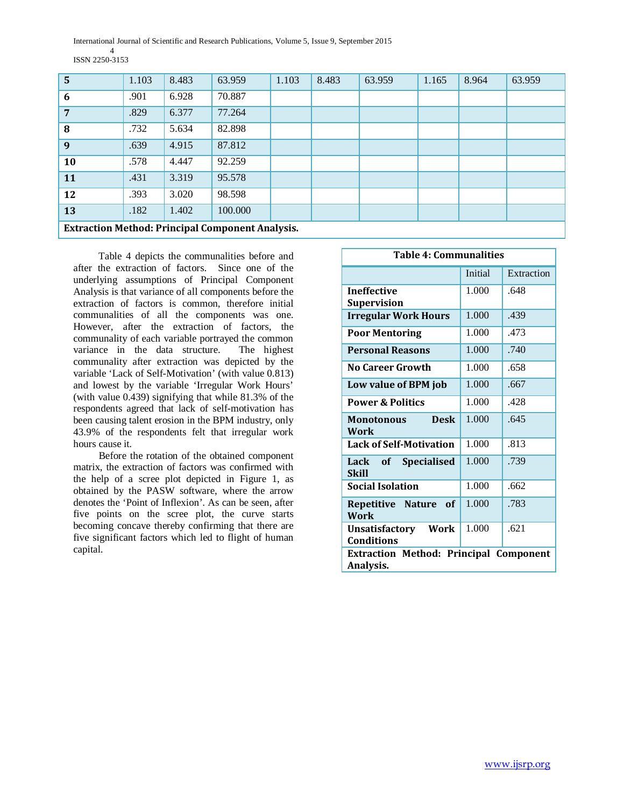International Journal of Scientific and Research Publications, Volume 5, Issue 9, September 2015 4 ISSN 2250-3153

| 5  | 1.103                                                   | 8.483 | 63.959  | 1.103 | 8.483 | 63.959 | 1.165 | 8.964 | 63.959 |  |
|----|---------------------------------------------------------|-------|---------|-------|-------|--------|-------|-------|--------|--|
| 6  | .901                                                    | 6.928 | 70.887  |       |       |        |       |       |        |  |
| 7  | .829                                                    | 6.377 | 77.264  |       |       |        |       |       |        |  |
| 8  | .732                                                    | 5.634 | 82.898  |       |       |        |       |       |        |  |
| 9  | .639                                                    | 4.915 | 87.812  |       |       |        |       |       |        |  |
| 10 | .578                                                    | 4.447 | 92.259  |       |       |        |       |       |        |  |
| 11 | .431                                                    | 3.319 | 95.578  |       |       |        |       |       |        |  |
| 12 | .393                                                    | 3.020 | 98.598  |       |       |        |       |       |        |  |
| 13 | .182                                                    | 1.402 | 100.000 |       |       |        |       |       |        |  |
|    | <b>Extraction Method: Principal Component Analysis.</b> |       |         |       |       |        |       |       |        |  |

 Table 4 depicts the communalities before and after the extraction of factors. Since one of the underlying assumptions of Principal Component Analysis is that variance of all components before the extraction of factors is common, therefore initial communalities of all the components was one. However, after the extraction of factors, the communality of each variable portrayed the common variance in the data structure. The highest communality after extraction was depicted by the variable 'Lack of Self-Motivation' (with value 0.813) and lowest by the variable 'Irregular Work Hours' (with value 0.439) signifying that while 81.3% of the respondents agreed that lack of self-motivation has been causing talent erosion in the BPM industry, only 43.9% of the respondents felt that irregular work hours cause it.

 Before the rotation of the obtained component matrix, the extraction of factors was confirmed with the help of a scree plot depicted in Figure 1, as obtained by the PASW software, where the arrow denotes the 'Point of Inflexion'. As can be seen, after five points on the scree plot, the curve starts becoming concave thereby confirming that there are five significant factors which led to flight of human capital.

| <b>Table 4: Communalities</b>                              |         |            |  |  |  |  |
|------------------------------------------------------------|---------|------------|--|--|--|--|
|                                                            | Initial | Extraction |  |  |  |  |
| <b>Ineffective</b><br><b>Supervision</b>                   | 1.000   | .648       |  |  |  |  |
| <b>Irregular Work Hours</b>                                | 1.000   | .439       |  |  |  |  |
| <b>Poor Mentoring</b>                                      | 1.000   | .473       |  |  |  |  |
| <b>Personal Reasons</b>                                    | 1.000   | .740       |  |  |  |  |
| No Career Growth                                           | 1.000   | .658       |  |  |  |  |
| Low value of BPM job                                       | 1.000   | .667       |  |  |  |  |
| <b>Power &amp; Politics</b>                                | 1.000   | .428       |  |  |  |  |
| <b>Desk</b><br><b>Monotonous</b><br>Work                   | 1.000   | .645       |  |  |  |  |
| <b>Lack of Self-Motivation</b>                             | 1.000   | .813       |  |  |  |  |
| <b>Specialised</b><br>Lack<br>of<br><b>Skill</b>           | 1.000   | .739       |  |  |  |  |
| <b>Social Isolation</b>                                    | 1.000   | .662       |  |  |  |  |
| Repetitive Nature of<br>Work                               | 1.000   | .783       |  |  |  |  |
| <b>Unsatisfactory Work</b><br><b>Conditions</b>            | 1.000   | .621       |  |  |  |  |
| <b>Extraction Method: Principal Component</b><br>Analysis. |         |            |  |  |  |  |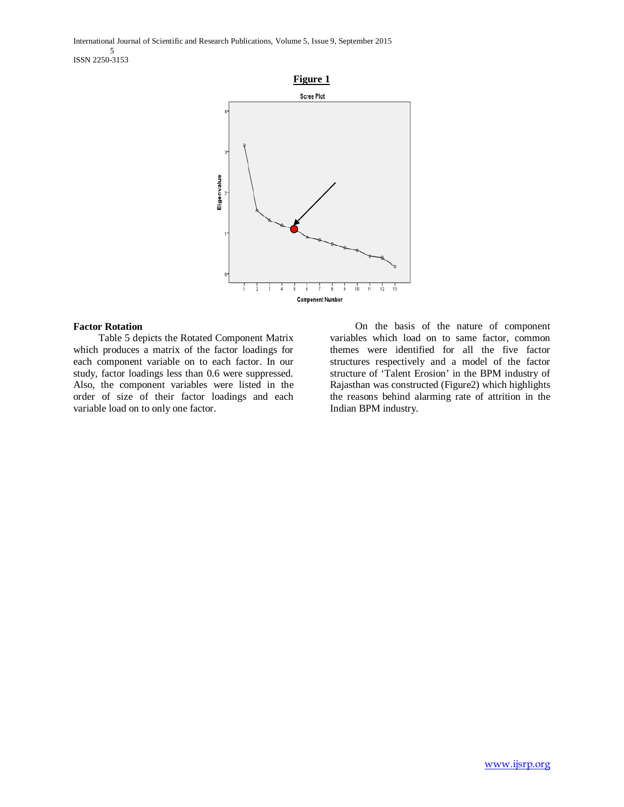International Journal of Scientific and Research Publications, Volume 5, Issue 9, September 2015 5 ISSN 2250-3153



# **Factor Rotation**

 Table 5 depicts the Rotated Component Matrix which produces a matrix of the factor loadings for each component variable on to each factor. In our study, factor loadings less than 0.6 were suppressed. Also, the component variables were listed in the order of size of their factor loadings and each variable load on to only one factor.

 On the basis of the nature of component variables which load on to same factor, common themes were identified for all the five factor structures respectively and a model of the factor structure of 'Talent Erosion' in the BPM industry of Rajasthan was constructed (Figure2) which highlights the reasons behind alarming rate of attrition in the Indian BPM industry.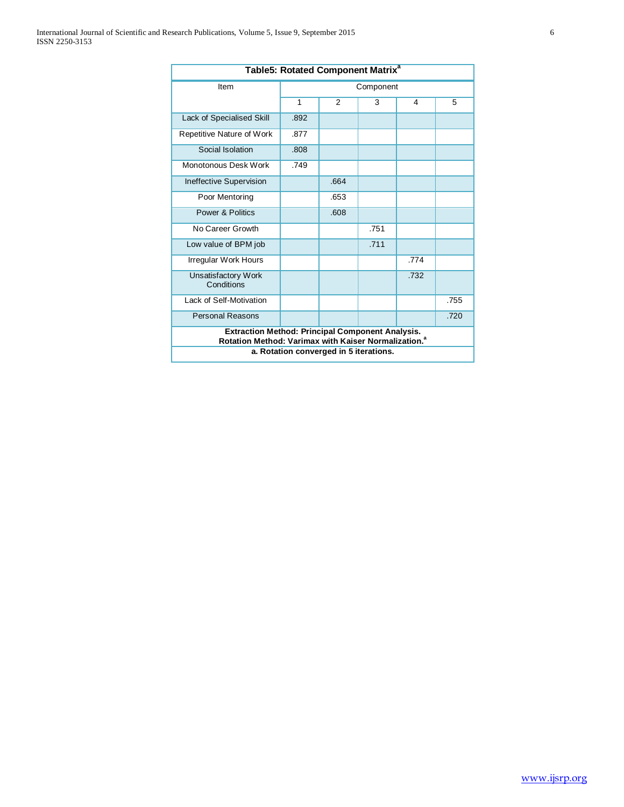| Table5: Rotated Component Matrix <sup>a</sup>                                                                               |           |                                        |      |      |      |  |  |  |  |
|-----------------------------------------------------------------------------------------------------------------------------|-----------|----------------------------------------|------|------|------|--|--|--|--|
| Item                                                                                                                        | Component |                                        |      |      |      |  |  |  |  |
|                                                                                                                             | 1         | $\mathcal{P}$                          | 3    | 4    | 5    |  |  |  |  |
| Lack of Specialised Skill                                                                                                   | .892      |                                        |      |      |      |  |  |  |  |
| Repetitive Nature of Work                                                                                                   | .877      |                                        |      |      |      |  |  |  |  |
| Social Isolation                                                                                                            | .808      |                                        |      |      |      |  |  |  |  |
| Monotonous Desk Work                                                                                                        | .749      |                                        |      |      |      |  |  |  |  |
| Ineffective Supervision                                                                                                     |           | .664                                   |      |      |      |  |  |  |  |
| Poor Mentoring                                                                                                              |           | .653                                   |      |      |      |  |  |  |  |
| Power & Politics                                                                                                            |           | .608                                   |      |      |      |  |  |  |  |
| No Career Growth                                                                                                            |           |                                        | .751 |      |      |  |  |  |  |
| Low value of BPM job                                                                                                        |           |                                        | .711 |      |      |  |  |  |  |
| Irregular Work Hours                                                                                                        |           |                                        |      | .774 |      |  |  |  |  |
| Unsatisfactory Work<br>Conditions                                                                                           |           |                                        |      | .732 |      |  |  |  |  |
| Lack of Self-Motivation                                                                                                     |           |                                        |      |      | .755 |  |  |  |  |
| <b>Personal Reasons</b><br>.720                                                                                             |           |                                        |      |      |      |  |  |  |  |
| <b>Extraction Method: Principal Component Analysis.</b><br>Rotation Method: Varimax with Kaiser Normalization. <sup>a</sup> |           |                                        |      |      |      |  |  |  |  |
|                                                                                                                             |           | a. Rotation converged in 5 iterations. |      |      |      |  |  |  |  |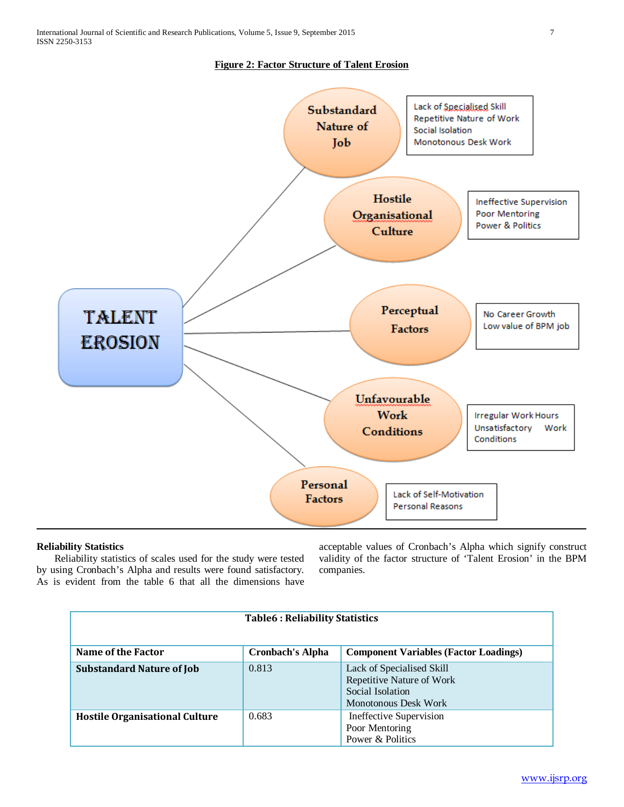# **Figure 2: Factor Structure of Talent Erosion**



## **Reliability Statistics**

 Reliability statistics of scales used for the study were tested by using Cronbach's Alpha and results were found satisfactory. As is evident from the table 6 that all the dimensions have acceptable values of Cronbach's Alpha which signify construct validity of the factor structure of 'Talent Erosion' in the BPM companies.

| <b>Table6: Reliability Statistics</b> |                         |                                                                                                    |  |  |  |  |  |  |
|---------------------------------------|-------------------------|----------------------------------------------------------------------------------------------------|--|--|--|--|--|--|
| Name of the Factor                    | <b>Cronbach's Alpha</b> | <b>Component Variables (Factor Loadings)</b>                                                       |  |  |  |  |  |  |
| <b>Substandard Nature of Job</b>      | 0.813                   | Lack of Specialised Skill<br>Repetitive Nature of Work<br>Social Isolation<br>Monotonous Desk Work |  |  |  |  |  |  |
| <b>Hostile Organisational Culture</b> | 0.683                   | Ineffective Supervision<br>Poor Mentoring<br>Power & Politics                                      |  |  |  |  |  |  |